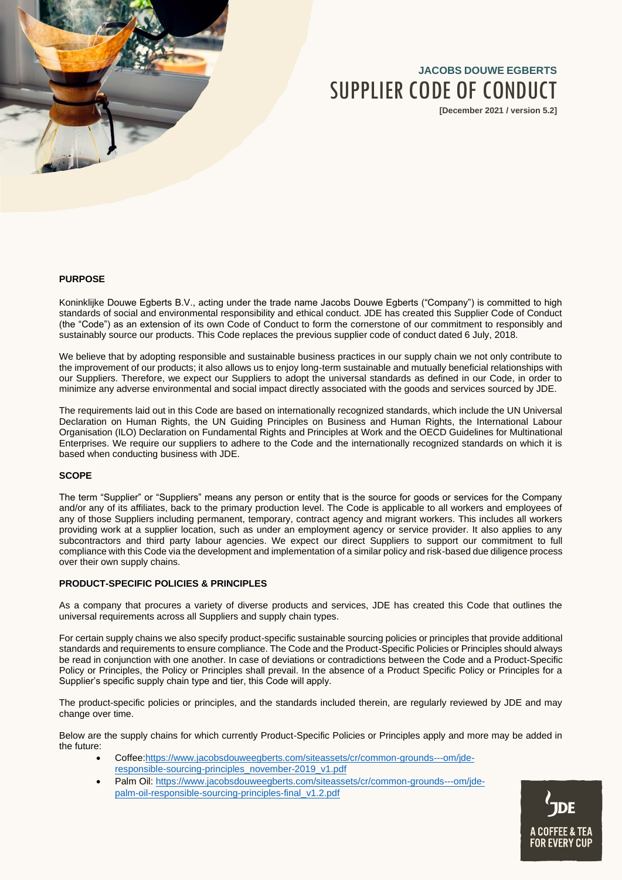

# **JACOBS DOUWE EGBERTS** SUPPLIER CODE OF CONDUCT

**[December 2021 / version 5.2]**

# **PURPOSE**

Koninklijke Douwe Egberts B.V., acting under the trade name Jacobs Douwe Egberts ("Company") is committed to high standards of social and environmental responsibility and ethical conduct. JDE has created this Supplier Code of Conduct (the "Code") as an extension of its own Code of Conduct to form the cornerstone of our commitment to responsibly and sustainably source our products. This Code replaces the previous supplier code of conduct dated 6 July, 2018.

We believe that by adopting responsible and sustainable business practices in our supply chain we not only contribute to the improvement of our products; it also allows us to enjoy long-term sustainable and mutually beneficial relationships with our Suppliers. Therefore, we expect our Suppliers to adopt the universal standards as defined in our Code, in order to minimize any adverse environmental and social impact directly associated with the goods and services sourced by JDE.

The requirements laid out in this Code are based on internationally recognized standards, which include the UN Universal Declaration on Human Rights, the UN Guiding Principles on Business and Human Rights, the International Labour Organisation (ILO) Declaration on Fundamental Rights and Principles at Work and the OECD Guidelines for Multinational Enterprises. We require our suppliers to adhere to the Code and the internationally recognized standards on which it is based when conducting business with JDE.

## **SCOPE**

The term "Supplier" or "Suppliers" means any person or entity that is the source for goods or services for the Company and/or any of its affiliates, back to the primary production level. The Code is applicable to all workers and employees of any of those Suppliers including permanent, temporary, contract agency and migrant workers. This includes all workers providing work at a supplier location, such as under an employment agency or service provider. It also applies to any subcontractors and third party labour agencies. We expect our direct Suppliers to support our commitment to full compliance with this Code via the development and implementation of a similar policy and risk-based due diligence process over their own supply chains.

### **PRODUCT-SPECIFIC POLICIES & PRINCIPLES**

As a company that procures a variety of diverse products and services, JDE has created this Code that outlines the universal requirements across all Suppliers and supply chain types.

For certain supply chains we also specify product-specific sustainable sourcing policies or principles that provide additional standards and requirements to ensure compliance. The Code and the Product-Specific Policies or Principles should always be read in conjunction with one another. In case of deviations or contradictions between the Code and a Product-Specific Policy or Principles, the Policy or Principles shall prevail. In the absence of a Product Specific Policy or Principles for a Supplier's specific supply chain type and tier, this Code will apply.

The product-specific policies or principles, and the standards included therein, are regularly reviewed by JDE and may change over time.

Below are the supply chains for which currently Product-Specific Policies or Principles apply and more may be added in the future:

- Coffee[:https://www.jacobsdouweegberts.com/siteassets/cr/common-grounds---om/jde](https://www.jacobsdouweegberts.com/siteassets/cr/common-grounds---om/jde-responsible-sourcing-principles_november-2019_v1.pdf)[responsible-sourcing-principles\\_november-2019\\_v1.pdf](https://www.jacobsdouweegberts.com/siteassets/cr/common-grounds---om/jde-responsible-sourcing-principles_november-2019_v1.pdf)
- Palm Oil: [https://www.jacobsdouweegberts.com/siteassets/cr/common-grounds---om/jde](https://www.jacobsdouweegberts.com/siteassets/cr/common-grounds---om/jde-palm-oil-responsible-sourcing-principles-final_v1.2.pdf)[palm-oil-responsible-sourcing-principles-final\\_v1.2.pdf](https://www.jacobsdouweegberts.com/siteassets/cr/common-grounds---om/jde-palm-oil-responsible-sourcing-principles-final_v1.2.pdf)

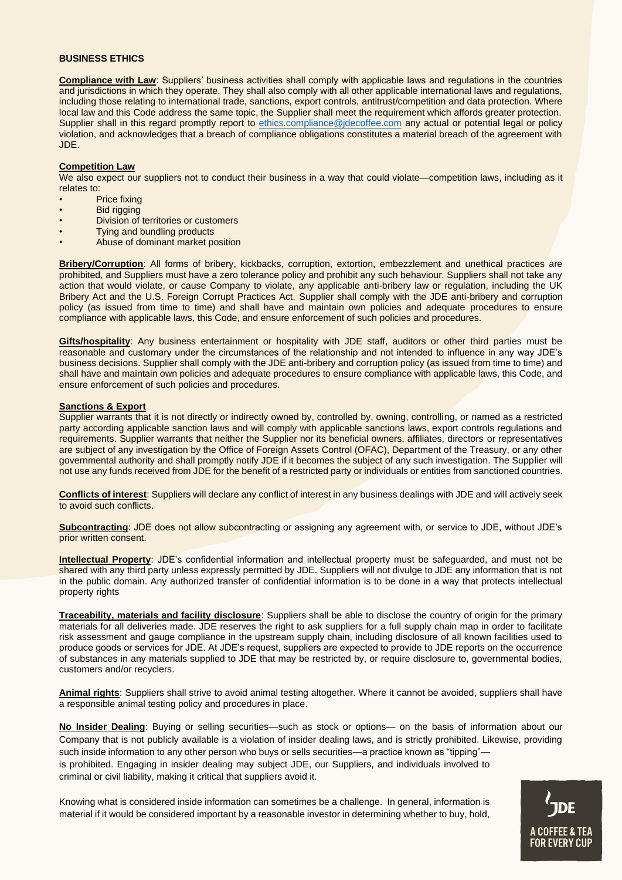#### **BUSINESS ETHICS**

**Compliance with Law**: Suppliers' business activities shall comply with applicable laws and regulations in the countries and jurisdictions in which they operate. They shall also comply with all other applicable international laws and regulations, including those relating to international trade, sanctions, export controls, antitrust/competition and data protection. Where local law and this Code address the same topic, the Supplier shall meet the requirement which affords greater protection. Supplier shall in this regard promptly report to [ethics.compliance@jdecoffee.com](mailto:ethics.compliance@jdecoffee.com) any actual or potential legal or policy violation, and acknowledges that a breach of compliance obligations constitutes a material breach of the agreement with JDE.

#### **Competition Law**

We also expect our suppliers not to conduct their business in a way that could violate—competition laws, including as it relates to:

- Price fixing
- **Bid rigging**
- Division of territories or customers
- Tying and bundling products
- Abuse of dominant market position

**Bribery/Corruption**: All forms of bribery, kickbacks, corruption, extortion, embezzlement and unethical practices are prohibited, and Suppliers must have a zero tolerance policy and prohibit any such behaviour. Suppliers shall not take any action that would violate, or cause Company to violate, any applicable anti-bribery law or regulation, including the UK Bribery Act and the U.S. Foreign Corrupt Practices Act. Supplier shall comply with the JDE anti-bribery and corruption policy (as issued from time to time) and shall have and maintain own policies and adequate procedures to ensure compliance with applicable laws, this Code, and ensure enforcement of such policies and procedures.

**Gifts/hospitality**: Any business entertainment or hospitality with JDE staff, auditors or other third parties must be reasonable and customary under the circumstances of the relationship and not intended to influence in any way JDE's business decisions. Supplier shall comply with the JDE anti-bribery and corruption policy (as issued from time to time) and shall have and maintain own policies and adequate procedures to ensure compliance with applicable laws, this Code, and ensure enforcement of such policies and procedures.

#### **Sanctions & Export**

Supplier warrants that it is not directly or indirectly owned by, controlled by, owning, controlling, or named as a restricted party according applicable sanction laws and will comply with applicable sanctions laws, export controls regulations and requirements. Supplier warrants that neither the Supplier nor its beneficial owners, affiliates, directors or representatives are subject of any investigation by the Office of Foreign Assets Control (OFAC), Department of the Treasury, or any other governmental authority and shall promptly notify JDE if it becomes the subject of any such investigation. The Supplier will not use any funds received from JDE for the benefit of a restricted party or individuals or entities from sanctioned countries.

**Conflicts of interest**: Suppliers will declare any conflict of interest in any business dealings with JDE and will actively seek to avoid such conflicts.

**Subcontracting**: JDE does not allow subcontracting or assigning any agreement with, or service to JDE, without JDE's prior written consent.

**Intellectual Property**: JDE's confidential information and intellectual property must be safeguarded, and must not be shared with any third party unless expressly permitted by JDE. Suppliers will not divulge to JDE any information that is not in the public domain. Any authorized transfer of confidential information is to be done in a way that protects intellectual property rights

**Traceability, materials and facility disclosure**: Suppliers shall be able to disclose the country of origin for the primary materials for all deliveries made. JDE reserves the right to ask suppliers for a full supply chain map in order to facilitate risk assessment and gauge compliance in the upstream supply chain, including disclosure of all known facilities used to produce goods or services for JDE. At JDE's request, suppliers are expected to provide to JDE reports on the occurrence of substances in any materials supplied to JDE that may be restricted by, or require disclosure to, governmental bodies, customers and/or recyclers.

**Animal rights**: Suppliers shall strive to avoid animal testing altogether. Where it cannot be avoided, suppliers shall have a responsible animal testing policy and procedures in place.

**No Insider Dealing**: Buying or selling securities—such as stock or options— on the basis of information about our Company that is not publicly available is a violation of insider dealing laws, and is strictly prohibited. Likewise, providing such inside information to any other person who buys or sells securities—a practice known as "tipping" is prohibited. Engaging in insider dealing may subject JDE, our Suppliers, and individuals involved to criminal or civil liability, making it critical that suppliers avoid it.

Knowing what is considered inside information can sometimes be a challenge. In general, information is material if it would be considered important by a reasonable investor in determining whether to buy, hold,

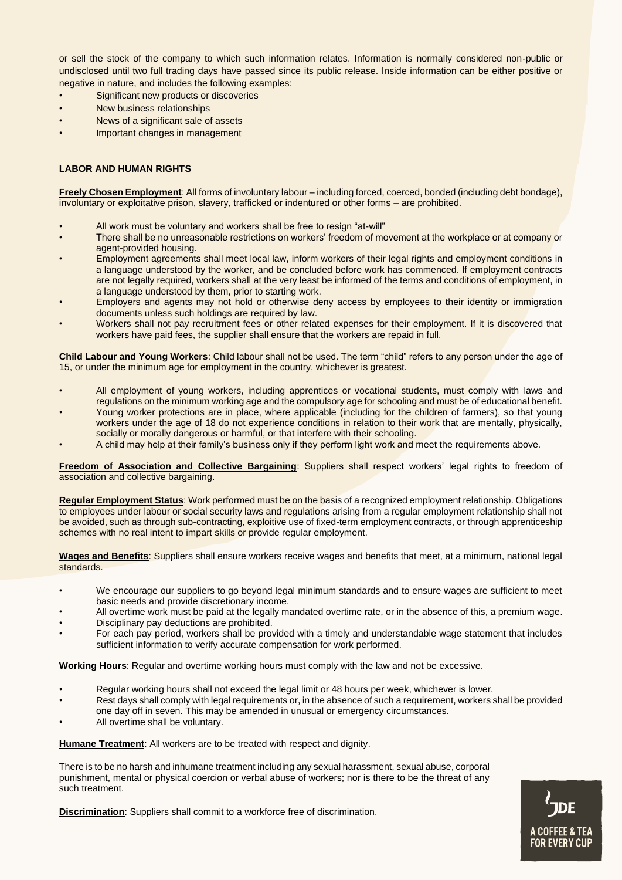or sell the stock of the company to which such information relates. Information is normally considered non-public or undisclosed until two full trading days have passed since its public release. Inside information can be either positive or negative in nature, and includes the following examples:

- Significant new products or discoveries
- New business relationships
- News of a significant sale of assets
- Important changes in management

# **LABOR AND HUMAN RIGHTS**

**Freely Chosen Employment**: All forms of involuntary labour – including forced, coerced, bonded (including debt bondage), involuntary or exploitative prison, slavery, trafficked or indentured or other forms – are prohibited.

- All work must be voluntary and workers shall be free to resign "at-will"
- There shall be no unreasonable restrictions on workers' freedom of movement at the workplace or at company or agent-provided housing.
- Employment agreements shall meet local law, inform workers of their legal rights and employment conditions in a language understood by the worker, and be concluded before work has commenced. If employment contracts are not legally required, workers shall at the very least be informed of the terms and conditions of employment, in a language understood by them, prior to starting work.
- Employers and agents may not hold or otherwise deny access by employees to their identity or immigration documents unless such holdings are required by law.
- Workers shall not pay recruitment fees or other related expenses for their employment. If it is discovered that workers have paid fees, the supplier shall ensure that the workers are repaid in full.

**Child Labour and Young Workers**: Child labour shall not be used. The term "child" refers to any person under the age of 15, or under the minimum age for employment in the country, whichever is greatest.

- All employment of young workers, including apprentices or vocational students, must comply with laws and regulations on the minimum working age and the compulsory age for schooling and must be of educational benefit.
- Young worker protections are in place, where applicable (including for the children of farmers), so that young workers under the age of 18 do not experience conditions in relation to their work that are mentally, physically, socially or morally dangerous or harmful, or that interfere with their schooling.
- A child may help at their family's business only if they perform light work and meet the requirements above.

**Freedom of Association and Collective Bargaining**: Suppliers shall respect workers' legal rights to freedom of association and collective bargaining.

**Regular Employment Status**: Work performed must be on the basis of a recognized employment relationship. Obligations to employees under labour or social security laws and regulations arising from a regular employment relationship shall not be avoided, such as through sub-contracting, exploitive use of fixed-term employment contracts, or through apprenticeship schemes with no real intent to impart skills or provide regular employment.

**Wages and Benefits**: Suppliers shall ensure workers receive wages and benefits that meet, at a minimum, national legal standards.

- We encourage our suppliers to go beyond legal minimum standards and to ensure wages are sufficient to meet basic needs and provide discretionary income.
- All overtime work must be paid at the legally mandated overtime rate, or in the absence of this, a premium wage.
- Disciplinary pay deductions are prohibited.
- For each pay period, workers shall be provided with a timely and understandable wage statement that includes sufficient information to verify accurate compensation for work performed.

**Working Hours**: Regular and overtime working hours must comply with the law and not be excessive.

- Regular working hours shall not exceed the legal limit or 48 hours per week, whichever is lower.
- Rest days shall comply with legal requirements or, in the absence of such a requirement, workers shall be provided one day off in seven. This may be amended in unusual or emergency circumstances.
- All overtime shall be voluntary.

**Humane Treatment**: All workers are to be treated with respect and dignity.

There is to be no harsh and inhumane treatment including any sexual harassment, sexual abuse, corporal punishment, mental or physical coercion or verbal abuse of workers; nor is there to be the threat of any such treatment.

**Discrimination**: Suppliers shall commit to a workforce free of discrimination.

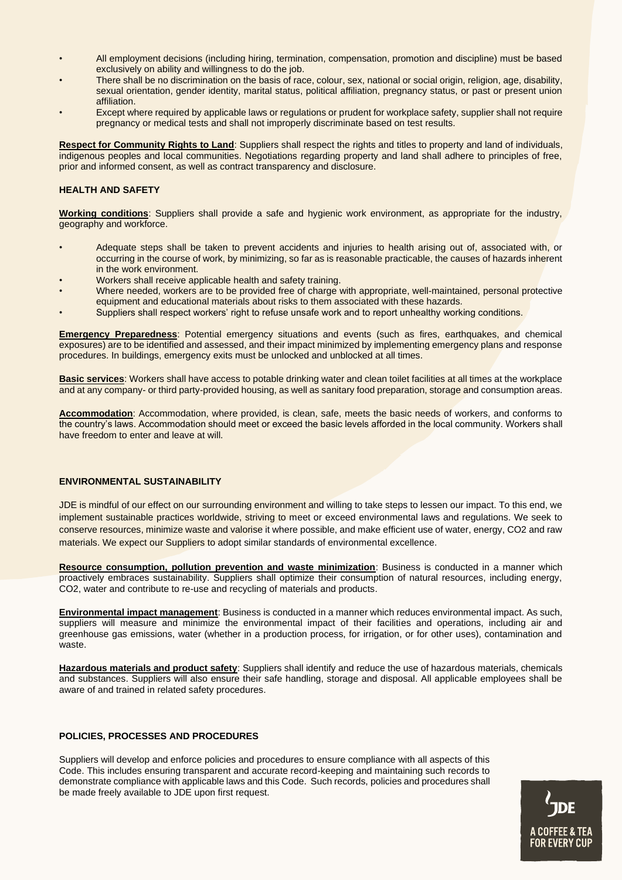- All employment decisions (including hiring, termination, compensation, promotion and discipline) must be based exclusively on ability and willingness to do the job.
- There shall be no discrimination on the basis of race, colour, sex, national or social origin, religion, age, disability, sexual orientation, gender identity, marital status, political affiliation, pregnancy status, or past or present union affiliation.
- Except where required by applicable laws or regulations or prudent for workplace safety, supplier shall not require pregnancy or medical tests and shall not improperly discriminate based on test results.

**Respect for Community Rights to Land**: Suppliers shall respect the rights and titles to property and land of individuals, indigenous peoples and local communities. Negotiations regarding property and land shall adhere to principles of free, prior and informed consent, as well as contract transparency and disclosure.

# **HEALTH AND SAFETY**

**Working conditions**: Suppliers shall provide a safe and hygienic work environment, as appropriate for the industry, geography and workforce.

- Adequate steps shall be taken to prevent accidents and injuries to health arising out of, associated with, or occurring in the course of work, by minimizing, so far as is reasonable practicable, the causes of hazards inherent in the work environment.
- Workers shall receive applicable health and safety training.
- Where needed, workers are to be provided free of charge with appropriate, well-maintained, personal protective equipment and educational materials about risks to them associated with these hazards.
- Suppliers shall respect workers' right to refuse unsafe work and to report unhealthy working conditions.

**Emergency Preparedness**: Potential emergency situations and events (such as fires, earthquakes, and chemical exposures) are to be identified and assessed, and their impact minimized by implementing emergency plans and response procedures. In buildings, emergency exits must be unlocked and unblocked at all times.

**Basic services**: Workers shall have access to potable drinking water and clean toilet facilities at all times at the workplace and at any company- or third party-provided housing, as well as sanitary food preparation, storage and consumption areas.

**Accommodation**: Accommodation, where provided, is clean, safe, meets the basic needs of workers, and conforms to the country's laws. Accommodation should meet or exceed the basic levels afforded in the local community. Workers shall have freedom to enter and leave at will.

### **ENVIRONMENTAL SUSTAINABILITY**

JDE is mindful of our effect on our surrounding environment and willing to take steps to lessen our impact. To this end, we implement sustainable practices worldwide, striving to meet or exceed environmental laws and regulations. We seek to conserve resources, minimize waste and valorise it where possible, and make efficient use of water, energy, CO2 and raw materials. We expect our Suppliers to adopt similar standards of environmental excellence.

**Resource consumption, pollution prevention and waste minimization**: Business is conducted in a manner which proactively embraces sustainability. Suppliers shall optimize their consumption of natural resources, including energy, CO2, water and contribute to re-use and recycling of materials and products.

**Environmental impact management**: Business is conducted in a manner which reduces environmental impact. As such, suppliers will measure and minimize the environmental impact of their facilities and operations, including air and greenhouse gas emissions, water (whether in a production process, for irrigation, or for other uses), contamination and waste.

**Hazardous materials and product safety**: Suppliers shall identify and reduce the use of hazardous materials, chemicals and substances. Suppliers will also ensure their safe handling, storage and disposal. All applicable employees shall be aware of and trained in related safety procedures.

# **POLICIES, PROCESSES AND PROCEDURES**

Suppliers will develop and enforce policies and procedures to ensure compliance with all aspects of this Code. This includes ensuring transparent and accurate record-keeping and maintaining such records to demonstrate compliance with applicable laws and this Code. Such records, policies and procedures shall be made freely available to JDE upon first request.